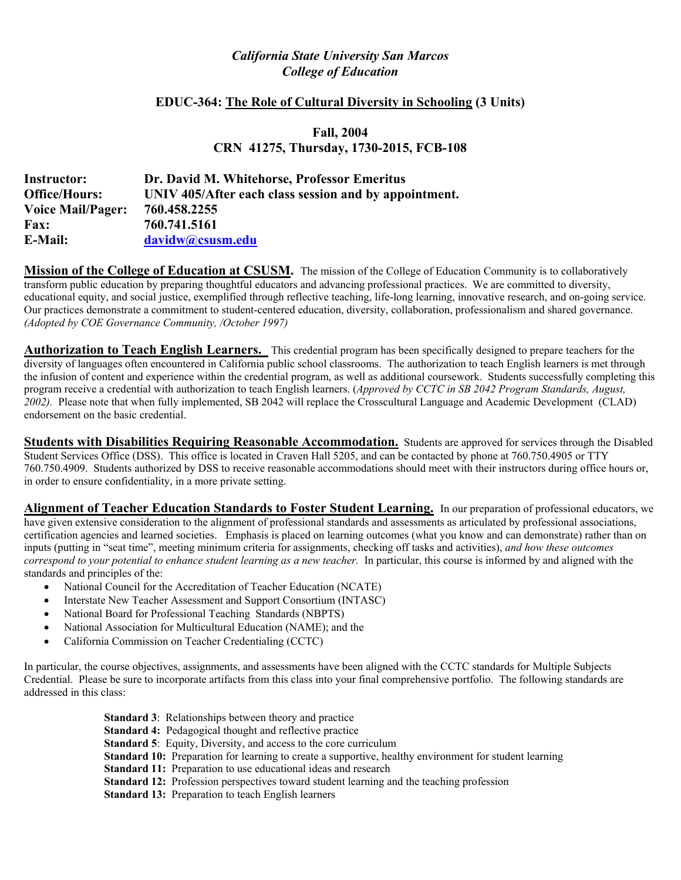# *California State University San Marcos College of Education*

# **EDUC-364: The Role of Cultural Diversity in Schooling (3 Units)**

# **Fall, 2004 CRN 41275, Thursday, 1730-2015, FCB-108**

| Instructor:              | Dr. David M. Whitehorse, Professor Emeritus           |
|--------------------------|-------------------------------------------------------|
| <b>Office/Hours:</b>     | UNIV 405/After each class session and by appointment. |
| <b>Voice Mail/Pager:</b> | 760.458.2255                                          |
| <b>Fax:</b>              | 760.741.5161                                          |
| <b>E-Mail:</b>           | davidw@csusm.edu                                      |

**Mission of the College of Education at CSUSM.** The mission of the College of Education Community is to collaboratively transform public education by preparing thoughtful educators and advancing professional practices. We are committed to diversity, educational equity, and social justice, exemplified through reflective teaching, life-long learning, innovative research, and on-going service. Our practices demonstrate a commitment to student-centered education, diversity, collaboration, professionalism and shared governance. *(Adopted by COE Governance Community, /October 1997)* 

**Authorization to Teach English Learners.** This credential program has been specifically designed to prepare teachers for the diversity of languages often encountered in California public school classrooms. The authorization to teach English learners is met through the infusion of content and experience within the credential program, as well as additional coursework. Students successfully completing this program receive a credential with authorization to teach English learners. (*Approved by CCTC in SB 2042 Program Standards, August, 2002).* Please note that when fully implemented, SB 2042 will replace the Crosscultural Language and Academic Development (CLAD) endorsement on the basic credential.

**Students with Disabilities Requiring Reasonable Accommodation.** Students are approved for services through the Disabled Student Services Office (DSS). This office is located in Craven Hall 5205, and can be contacted by phone at 760.750.4905 or TTY 760.750.4909. Students authorized by DSS to receive reasonable accommodations should meet with their instructors during office hours or, in order to ensure confidentiality, in a more private setting.

**Alignment of Teacher Education Standards to Foster Student Learning.** In our preparation of professional educators, we have given extensive consideration to the alignment of professional standards and assessments as articulated by professional associations, certification agencies and learned societies. Emphasis is placed on learning outcomes (what you know and can demonstrate) rather than on inputs (putting in "seat time", meeting minimum criteria for assignments, checking off tasks and activities), *and how these outcomes correspond to your potential to enhance student learning as a new teacher.* In particular, this course is informed by and aligned with the standards and principles of the:

- National Council for the Accreditation of Teacher Education (NCATE)
- Interstate New Teacher Assessment and Support Consortium (INTASC)
- National Board for Professional Teaching Standards (NBPTS)
- National Association for Multicultural Education (NAME); and the
- California Commission on Teacher Credentialing (CCTC)

In particular, the course objectives, assignments, and assessments have been aligned with the CCTC standards for Multiple Subjects Credential. Please be sure to incorporate artifacts from this class into your final comprehensive portfolio. The following standards are addressed in this class:

| <b>Standard 3:</b> Relationships between theory and practice                                                  |
|---------------------------------------------------------------------------------------------------------------|
| <b>Standard 4:</b> Pedagogical thought and reflective practice                                                |
| <b>Standard 5:</b> Equity, Diversity, and access to the core curriculum                                       |
| <b>Standard 10:</b> Preparation for learning to create a supportive, healthy environment for student learning |
| <b>Standard 11:</b> Preparation to use educational ideas and research                                         |
| <b>Standard 12:</b> Profession perspectives toward student learning and the teaching profession               |
| <b>Standard 13:</b> Preparation to teach English learners                                                     |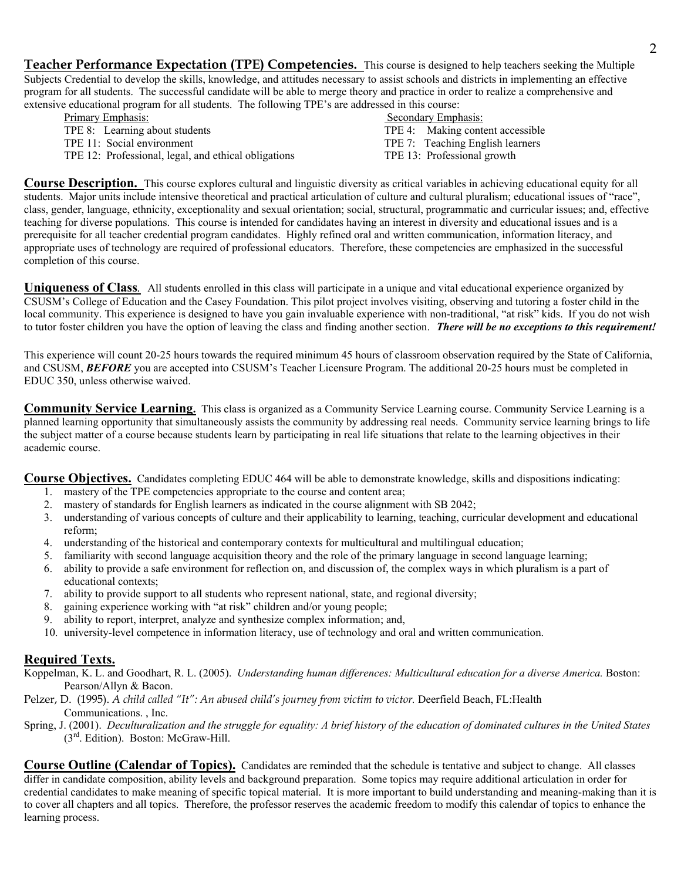**Teacher Performance Expectation (TPE) Competencies.** This course is designed to help teachers seeking the Multiple Subjects Credential to develop the skills, knowledge, and attitudes necessary to assist schools and districts in implementing an effective program for all students. The successful candidate will be able to merge theory and practice in order to realize a comprehensive and extensive educational program for all students. The following TPE's are addressed in this course:

Primary Emphasis: Secondary Emphasis: Secondary Emphasis: Secondary Emphasis: Secondary Emphasis: Secondary Emphasis: Secondary Emphasis: TPE 4: Making conto TPE 11: Social environment TPE 7: Teaching English learners TPE 12: Professional, legal, and ethical obligations TPE 13: Professional growth

TPE 4: Making content accessible

**Course Description.** This course explores cultural and linguistic diversity as critical variables in achieving educational equity for all students. Major units include intensive theoretical and practical articulation of culture and cultural pluralism; educational issues of "race", class, gender, language, ethnicity, exceptionality and sexual orientation; social, structural, programmatic and curricular issues; and, effective teaching for diverse populations. This course is intended for candidates having an interest in diversity and educational issues and is a prerequisite for all teacher credential program candidates. Highly refined oral and written communication, information literacy, and appropriate uses of technology are required of professional educators. Therefore, these competencies are emphasized in the successful completion of this course.

**Uniqueness of Class***.* All students enrolled in this class will participate in a unique and vital educational experience organized by CSUSM's College of Education and the Casey Foundation. This pilot project involves visiting, observing and tutoring a foster child in the local community. This experience is designed to have you gain invaluable experience with non-traditional, "at risk" kids. If you do not wish to tutor foster children you have the option of leaving the class and finding another section. *There will be no exceptions to this requirement!* 

This experience will count 20-25 hours towards the required minimum 45 hours of classroom observation required by the State of California, and CSUSM, **BEFORE** you are accepted into CSUSM's Teacher Licensure Program. The additional 20-25 hours must be completed in EDUC 350, unless otherwise waived.

**Community Service Learning.** This class is organized as a Community Service Learning course. Community Service Learning is a planned learning opportunity that simultaneously assists the community by addressing real needs. Community service learning brings to life the subject matter of a course because students learn by participating in real life situations that relate to the learning objectives in their academic course.

**Course Objectives.** Candidates completing EDUC 464 will be able to demonstrate knowledge, skills and dispositions indicating:

- 1. mastery of the TPE competencies appropriate to the course and content area;
- 2. mastery of standards for English learners as indicated in the course alignment with SB 2042;
- 3. understanding of various concepts of culture and their applicability to learning, teaching, curricular development and educational reform;
- 4. understanding of the historical and contemporary contexts for multicultural and multilingual education;
- 5. familiarity with second language acquisition theory and the role of the primary language in second language learning;
- 6. ability to provide a safe environment for reflection on, and discussion of, the complex ways in which pluralism is a part of educational contexts;
- 7. ability to provide support to all students who represent national, state, and regional diversity;
- 8. gaining experience working with "at risk" children and/or young people;
- 9. ability to report, interpret, analyze and synthesize complex information; and,
- 10. university-level competence in information literacy, use of technology and oral and written communication.

# **Required Texts.**

- Koppelman, K. L. and Goodhart, R. L. (2005). *Understanding human differences: Multicultural education for a diverse America.* Boston: Pearson/Allyn & Bacon.
- Pelzer, D. (1995). *A child called "It": An abused child's journey from victim to victor.* Deerfield Beach, FL:Health Communications. , Inc.
- Spring, J. (2001). *Deculturalization and the struggle for equality: A brief history of the education of dominated cultures in the United States* (3rd. Edition). Boston: McGraw-Hill.

**Course Outline (Calendar of Topics).** Candidates are reminded that the schedule is tentative and subject to change. All classes differ in candidate composition, ability levels and background preparation. Some topics may require additional articulation in order for credential candidates to make meaning of specific topical material. It is more important to build understanding and meaning-making than it is to cover all chapters and all topics. Therefore, the professor reserves the academic freedom to modify this calendar of topics to enhance the learning process.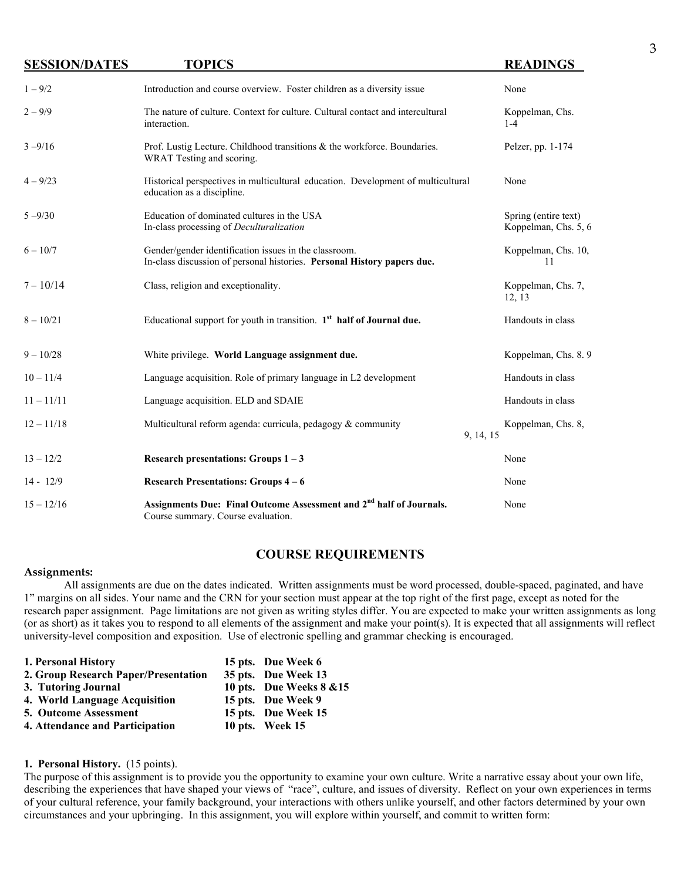| <b>SESSION/DATES</b> | <b>TOPICS</b>                                                                                                                    | <b>READINGS</b>                              |
|----------------------|----------------------------------------------------------------------------------------------------------------------------------|----------------------------------------------|
| $1 - 9/2$            | Introduction and course overview. Foster children as a diversity issue                                                           | None                                         |
| $2 - 9/9$            | The nature of culture. Context for culture. Cultural contact and intercultural<br>interaction.                                   | Koppelman, Chs.<br>$1 - 4$                   |
| $3 - 9/16$           | Prof. Lustig Lecture. Childhood transitions & the workforce. Boundaries.<br>WRAT Testing and scoring.                            | Pelzer, pp. 1-174                            |
| $4 - 9/23$           | Historical perspectives in multicultural education. Development of multicultural<br>education as a discipline.                   | None                                         |
| $5 - 9/30$           | Education of dominated cultures in the USA<br>In-class processing of Deculturalization                                           | Spring (entire text)<br>Koppelman, Chs. 5, 6 |
| $6 - 10/7$           | Gender/gender identification issues in the classroom.<br>In-class discussion of personal histories. Personal History papers due. | Koppelman, Chs. 10,<br>11                    |
| $7 - 10/14$          | Class, religion and exceptionality.                                                                                              | Koppelman, Chs. 7,<br>12, 13                 |
| $8 - 10/21$          | Educational support for youth in transition. $1st$ half of Journal due.                                                          | Handouts in class                            |
| $9 - 10/28$          | White privilege. World Language assignment due.                                                                                  | Koppelman, Chs. 8.9                          |
| $10 - 11/4$          | Language acquisition. Role of primary language in L2 development                                                                 | Handouts in class                            |
| $11 - 11/11$         | Language acquisition. ELD and SDAIE                                                                                              | Handouts in class                            |
| $12 - 11/18$         | Multicultural reform agenda: curricula, pedagogy $\&$ community<br>9, 14, 15                                                     | Koppelman, Chs. 8,                           |
| $13 - 12/2$          | Research presentations: Groups $1 - 3$                                                                                           | None                                         |
| $14 - 12/9$          | <b>Research Presentations: Groups 4-6</b>                                                                                        | None                                         |
| $15 - 12/16$         | Assignments Due: Final Outcome Assessment and 2 <sup>nd</sup> half of Journals.<br>Course summary. Course evaluation.            | None                                         |

## **COURSE REQUIREMENTS**

#### **Assignments:**

All assignments are due on the dates indicated. Written assignments must be word processed, double-spaced, paginated, and have 1" margins on all sides. Your name and the CRN for your section must appear at the top right of the first page, except as noted for the research paper assignment. Page limitations are not given as writing styles differ. You are expected to make your written assignments as long (or as short) as it takes you to respond to all elements of the assignment and make your point(s). It is expected that all assignments will reflect university-level composition and exposition. Use of electronic spelling and grammar checking is encouraged.

| 1. Personal History                  | 15 pts. Due Week 6       |
|--------------------------------------|--------------------------|
| 2. Group Research Paper/Presentation | 35 pts. Due Week 13      |
| 3. Tutoring Journal                  | 10 pts. Due Weeks 8 & 15 |
| 4. World Language Acquisition        | 15 pts. Due Week 9       |
| <b>5. Outcome Assessment</b>         | 15 pts. Due Week 15      |
| 4. Attendance and Participation      | 10 pts. Week 15          |

#### **1. Personal History.** (15 points).

The purpose of this assignment is to provide you the opportunity to examine your own culture. Write a narrative essay about your own life, describing the experiences that have shaped your views of "race", culture, and issues of diversity. Reflect on your own experiences in terms of your cultural reference, your family background, your interactions with others unlike yourself, and other factors determined by your own circumstances and your upbringing. In this assignment, you will explore within yourself, and commit to written form: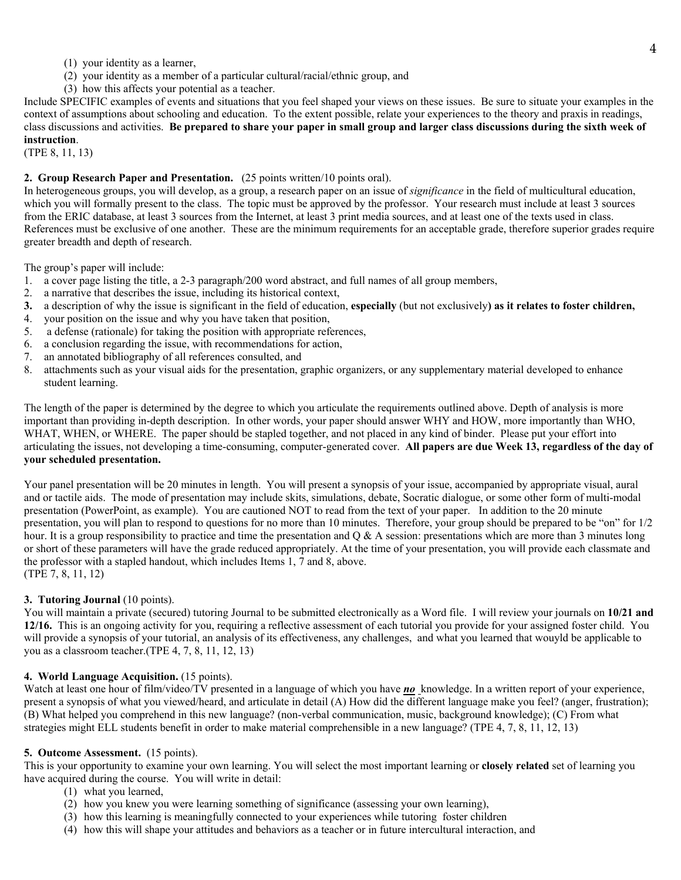- (1) your identity as a learner,
- (2) your identity as a member of a particular cultural/racial/ethnic group, and
- (3) how this affects your potential as a teacher.

Include SPECIFIC examples of events and situations that you feel shaped your views on these issues. Be sure to situate your examples in the context of assumptions about schooling and education. To the extent possible, relate your experiences to the theory and praxis in readings, class discussions and activities. **Be prepared to share your paper in small group and larger class discussions during the sixth week of instruction**.

(TPE 8, 11, 13)

## **2. Group Research Paper and Presentation.** (25 points written/10 points oral).

In heterogeneous groups, you will develop, as a group, a research paper on an issue of *significance* in the field of multicultural education, which you will formally present to the class. The topic must be approved by the professor. Your research must include at least 3 sources from the ERIC database, at least 3 sources from the Internet, at least 3 print media sources, and at least one of the texts used in class. References must be exclusive of one another. These are the minimum requirements for an acceptable grade, therefore superior grades require greater breadth and depth of research.

The group's paper will include:

- 1. a cover page listing the title, a 2-3 paragraph/200 word abstract, and full names of all group members,
- 2. a narrative that describes the issue, including its historical context,
- **3.** a description of why the issue is significant in the field of education, **especially** (but not exclusively**) as it relates to foster children,**
- 4. your position on the issue and why you have taken that position,
- 5. a defense (rationale) for taking the position with appropriate references,
- 6. a conclusion regarding the issue, with recommendations for action,
- 7. an annotated bibliography of all references consulted, and
- 8. attachments such as your visual aids for the presentation, graphic organizers, or any supplementary material developed to enhance student learning.

The length of the paper is determined by the degree to which you articulate the requirements outlined above. Depth of analysis is more important than providing in-depth description. In other words, your paper should answer WHY and HOW, more importantly than WHO, WHAT, WHEN, or WHERE. The paper should be stapled together, and not placed in any kind of binder. Please put your effort into articulating the issues, not developing a time-consuming, computer-generated cover. **All papers are due Week 13, regardless of the day of your scheduled presentation.**

Your panel presentation will be 20 minutes in length. You will present a synopsis of your issue, accompanied by appropriate visual, aural and or tactile aids. The mode of presentation may include skits, simulations, debate, Socratic dialogue, or some other form of multi-modal presentation (PowerPoint, as example). You are cautioned NOT to read from the text of your paper. In addition to the 20 minute presentation, you will plan to respond to questions for no more than 10 minutes. Therefore, your group should be prepared to be "on" for 1/2 hour. It is a group responsibility to practice and time the presentation and  $\overline{O} \& A$  session: presentations which are more than 3 minutes long or short of these parameters will have the grade reduced appropriately. At the time of your presentation, you will provide each classmate and the professor with a stapled handout, which includes Items 1, 7 and 8, above. (TPE 7, 8, 11, 12)

## **3. Tutoring Journal** (10 points).

You will maintain a private (secured) tutoring Journal to be submitted electronically as a Word file. I will review your journals on **10/21 and 12/16.** This is an ongoing activity for you, requiring a reflective assessment of each tutorial you provide for your assigned foster child. You will provide a synopsis of your tutorial, an analysis of its effectiveness, any challenges, and what you learned that wouyld be applicable to you as a classroom teacher.(TPE 4, 7, 8, 11, 12, 13)

#### **4. World Language Acquisition.** (15 points).

Watch at least one hour of film/video/TV presented in a language of which you have **no** knowledge. In a written report of your experience, present a synopsis of what you viewed/heard, and articulate in detail (A) How did the different language make you feel? (anger, frustration); (B) What helped you comprehend in this new language? (non-verbal communication, music, background knowledge); (C) From what strategies might ELL students benefit in order to make material comprehensible in a new language? (TPE 4, 7, 8, 11, 12, 13)

#### **5. Outcome Assessment.** (15 points).

This is your opportunity to examine your own learning. You will select the most important learning or **closely related** set of learning you have acquired during the course. You will write in detail:

- (1) what you learned,
- (2) how you knew you were learning something of significance (assessing your own learning),
- (3) how this learning is meaningfully connected to your experiences while tutoring foster children
- (4) how this will shape your attitudes and behaviors as a teacher or in future intercultural interaction, and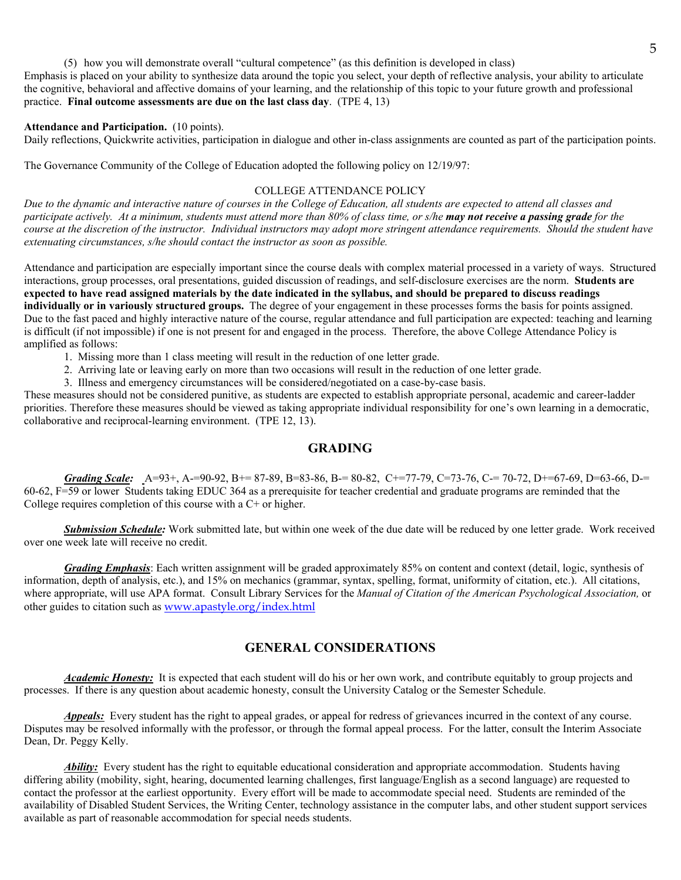(5) how you will demonstrate overall "cultural competence" (as this definition is developed in class) Emphasis is placed on your ability to synthesize data around the topic you select, your depth of reflective analysis, your ability to articulate the cognitive, behavioral and affective domains of your learning, and the relationship of this topic to your future growth and professional practice. **Final outcome assessments are due on the last class day**. (TPE 4, 13)

#### **Attendance and Participation.** (10 points).

Daily reflections, Quickwrite activities, participation in dialogue and other in-class assignments are counted as part of the participation points.

The Governance Community of the College of Education adopted the following policy on 12/19/97:

## COLLEGE ATTENDANCE POLICY

*Due to the dynamic and interactive nature of courses in the College of Education, all students are expected to attend all classes and participate actively. At a minimum, students must attend more than 80% of class time, or s/he may not receive a passing grade for the course at the discretion of the instructor. Individual instructors may adopt more stringent attendance requirements. Should the student have extenuating circumstances, s/he should contact the instructor as soon as possible.* 

Attendance and participation are especially important since the course deals with complex material processed in a variety of ways. Structured interactions, group processes, oral presentations, guided discussion of readings, and self-disclosure exercises are the norm. **Students are expected to have read assigned materials by the date indicated in the syllabus, and should be prepared to discuss readings individually or in variously structured groups.** The degree of your engagement in these processes forms the basis for points assigned. Due to the fast paced and highly interactive nature of the course, regular attendance and full participation are expected: teaching and learning is difficult (if not impossible) if one is not present for and engaged in the process. Therefore, the above College Attendance Policy is amplified as follows:

- 1. Missing more than 1 class meeting will result in the reduction of one letter grade.
- 2. Arriving late or leaving early on more than two occasions will result in the reduction of one letter grade.
- 3. Illness and emergency circumstances will be considered/negotiated on a case-by-case basis.

These measures should not be considered punitive, as students are expected to establish appropriate personal, academic and career-ladder priorities. Therefore these measures should be viewed as taking appropriate individual responsibility for one's own learning in a democratic, collaborative and reciprocal-learning environment. (TPE 12, 13).

## **GRADING**

*Grading Scale:* A=93+, A-=90-92, B+= 87-89, B=83-86, B-= 80-82, C+=77-79, C=73-76, C-= 70-72, D+=67-69, D=63-66, D-= 60-62, F=59 or lower Students taking EDUC 364 as a prerequisite for teacher credential and graduate programs are reminded that the College requires completion of this course with a C+ or higher.

 *Submission Schedule:* Work submitted late, but within one week of the due date will be reduced by one letter grade. Work received over one week late will receive no credit.

*Grading Emphasis*: Each written assignment will be graded approximately 85% on content and context (detail, logic, synthesis of information, depth of analysis, etc.), and 15% on mechanics (grammar, syntax, spelling, format, uniformity of citation, etc.). All citations, where appropriate, will use APA format. Consult Library Services for the *Manual of Citation of the American Psychological Association,* or other guides to citation such as www.apastyle.org/index.html

## **GENERAL CONSIDERATIONS**

*Academic Honesty:* It is expected that each student will do his or her own work, and contribute equitably to group projects and processes. If there is any question about academic honesty, consult the University Catalog or the Semester Schedule.

**Appeals:** Every student has the right to appeal grades, or appeal for redress of grievances incurred in the context of any course. Disputes may be resolved informally with the professor, or through the formal appeal process. For the latter, consult the Interim Associate Dean, Dr. Peggy Kelly.

*Ability:* Every student has the right to equitable educational consideration and appropriate accommodation. Students having differing ability (mobility, sight, hearing, documented learning challenges, first language/English as a second language) are requested to contact the professor at the earliest opportunity. Every effort will be made to accommodate special need. Students are reminded of the availability of Disabled Student Services, the Writing Center, technology assistance in the computer labs, and other student support services available as part of reasonable accommodation for special needs students.